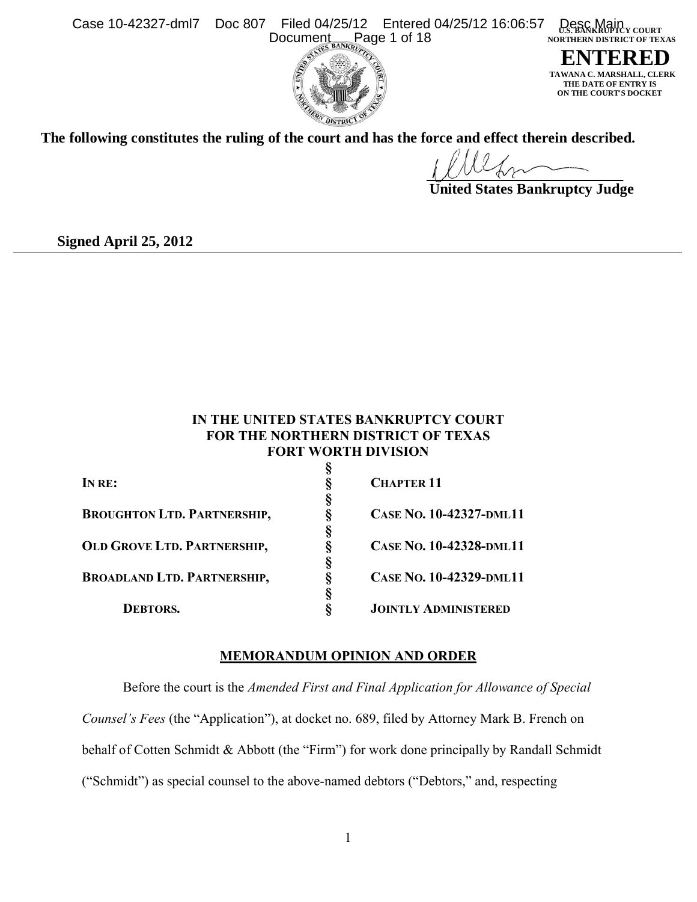**Filed 04/25/12** Case 10-42327-dml7 Doc 807 Filed 04/25/12 Entered 04/25/12 16:06:57 Desc Main<br>Document Page 1 of 18  **NORTHERN DISTRICT OF TEXAS** Entered 04/25/12 16:06:57 Document



**ENTERED MARSHALL, CLERK THE DATE OF ENTRY IS ON THE COURT'S DOCKET**

**The following constitutes the ruling of the court and has the force and effect therein described.**

 **United States Bankruptcy Judge**

**Signed April 25, 2012**

# **IN THE UNITED STATES BANKRUPTCY COURT FOR THE NORTHERN DISTRICT OF TEXAS FORT WORTH DIVISION**

| IN RE:                             | <b>CHAPTER 11</b>           |
|------------------------------------|-----------------------------|
|                                    |                             |
| <b>BROUGHTON LTD. PARTNERSHIP,</b> | CASE NO. 10-42327-DML11     |
|                                    |                             |
| <b>OLD GROVE LTD. PARTNERSHIP,</b> | CASE NO. 10-42328-DML11     |
|                                    |                             |
| <b>BROADLAND LTD. PARTNERSHIP,</b> | CASE No. 10-42329-DML11     |
|                                    |                             |
| DEBTORS.                           | <b>JOINTLY ADMINISTERED</b> |
|                                    |                             |

# **MEMORANDUM OPINION AND ORDER**

Before the court is the *Amended First and Final Application for Allowance of Special Counsel's Fees* (the "Application"), at docket no. 689, filed by Attorney Mark B. French on behalf of Cotten Schmidt & Abbott (the "Firm") for work done principally by Randall Schmidt ("Schmidt") as special counsel to the above-named debtors ("Debtors," and, respecting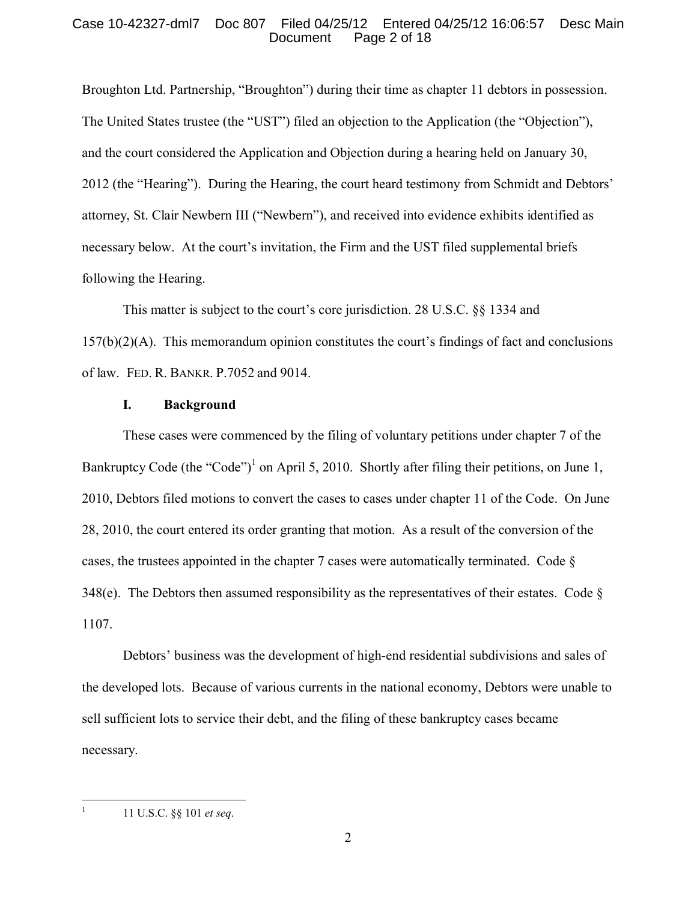## Case 10-42327-dml7 Doc 807 Filed 04/25/12 Entered 04/25/12 16:06:57 Desc Main Page 2 of 18

Broughton Ltd. Partnership, "Broughton") during their time as chapter 11 debtors in possession. The United States trustee (the "UST") filed an objection to the Application (the "Objection"), and the court considered the Application and Objection during a hearing held on January 30, 2012 (the "Hearing"). During the Hearing, the court heard testimony from Schmidt and Debtors' attorney, St. Clair Newbern III ("Newbern"), and received into evidence exhibits identified as necessary below. At the court's invitation, the Firm and the UST filed supplemental briefs following the Hearing.

This matter is subject to the court's core jurisdiction. 28 U.S.C. §§ 1334 and  $157(b)(2)(A)$ . This memorandum opinion constitutes the court's findings of fact and conclusions of law. FED. R. BANKR. P.7052 and 9014.

#### **I. Background**

These cases were commenced by the filing of voluntary petitions under chapter 7 of the Bankruptcy Code (the "Code")<sup>[1](#page-1-0)</sup> on April 5, 2010. Shortly after filing their petitions, on June 1, 2010, Debtors filed motions to convert the cases to cases under chapter 11 of the Code. On June 28, 2010, the court entered its order granting that motion. As a result of the conversion of the cases, the trustees appointed in the chapter 7 cases were automatically terminated. Code § 348(e). The Debtors then assumed responsibility as the representatives of their estates. Code  $\S$ 1107.

Debtors' business was the development of high-end residential subdivisions and sales of the developed lots. Because of various currents in the national economy, Debtors were unable to sell sufficient lots to service their debt, and the filing of these bankruptcy cases became necessary.

<span id="page-1-0"></span> $\frac{1}{1}$ 

<sup>11</sup> U.S.C. §§ 101 *et seq*.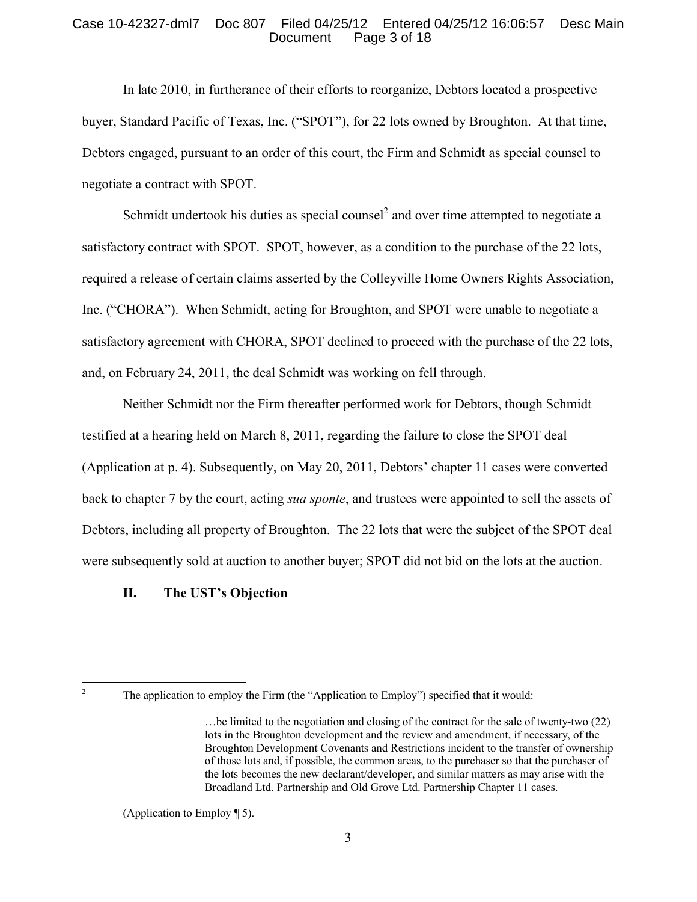## Case 10-42327-dml7 Doc 807 Filed 04/25/12 Entered 04/25/12 16:06:57 Desc Main Page 3 of 18

In late 2010, in furtherance of their efforts to reorganize, Debtors located a prospective buyer, Standard Pacific of Texas, Inc. ("SPOT"), for 22 lots owned by Broughton. At that time, Debtors engaged, pursuant to an order of this court, the Firm and Schmidt as special counsel to negotiate a contract with SPOT.

Schmidt undertook his duties as special counsel<sup>[2](#page-2-0)</sup> and over time attempted to negotiate a satisfactory contract with SPOT. SPOT, however, as a condition to the purchase of the 22 lots, required a release of certain claims asserted by the Colleyville Home Owners Rights Association, Inc. ("CHORA"). When Schmidt, acting for Broughton, and SPOT were unable to negotiate a satisfactory agreement with CHORA, SPOT declined to proceed with the purchase of the 22 lots, and, on February 24, 2011, the deal Schmidt was working on fell through.

Neither Schmidt nor the Firm thereafter performed work for Debtors, though Schmidt testified at a hearing held on March 8, 2011, regarding the failure to close the SPOT deal (Application at p. 4). Subsequently, on May 20, 2011, Debtors' chapter 11 cases were converted back to chapter 7 by the court, acting *sua sponte*, and trustees were appointed to sell the assets of Debtors, including all property of Broughton. The 22 lots that were the subject of the SPOT deal were subsequently sold at auction to another buyer; SPOT did not bid on the lots at the auction.

# **II. The UST's Objection**

<span id="page-2-0"></span> $\frac{1}{2}$ 

The application to employ the Firm (the "Application to Employ") specified that it would:

<sup>…</sup>be limited to the negotiation and closing of the contract for the sale of twenty-two (22) lots in the Broughton development and the review and amendment, if necessary, of the Broughton Development Covenants and Restrictions incident to the transfer of ownership of those lots and, if possible, the common areas, to the purchaser so that the purchaser of the lots becomes the new declarant/developer, and similar matters as may arise with the Broadland Ltd. Partnership and Old Grove Ltd. Partnership Chapter 11 cases.

<sup>(</sup>Application to Employ ¶ 5).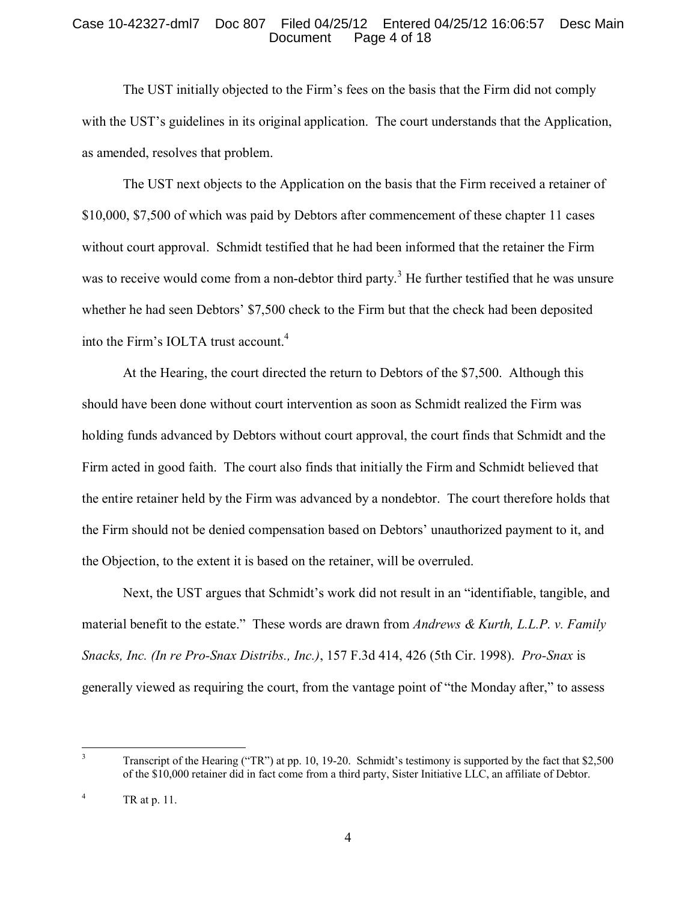# Case 10-42327-dml7 Doc 807 Filed 04/25/12 Entered 04/25/12 16:06:57 Desc Main Page 4 of 18

The UST initially objected to the Firm's fees on the basis that the Firm did not comply with the UST's guidelines in its original application. The court understands that the Application, as amended, resolves that problem.

The UST next objects to the Application on the basis that the Firm received a retainer of \$10,000, \$7,500 of which was paid by Debtors after commencement of these chapter 11 cases without court approval. Schmidt testified that he had been informed that the retainer the Firm was to receive would come from a non-debtor third party.<sup>[3](#page-3-0)</sup> He further testified that he was unsure whether he had seen Debtors' \$7,500 check to the Firm but that the check had been deposited into the Firm's IOLTA trust account.<sup>[4](#page-3-1)</sup>

At the Hearing, the court directed the return to Debtors of the \$7,500. Although this should have been done without court intervention as soon as Schmidt realized the Firm was holding funds advanced by Debtors without court approval, the court finds that Schmidt and the Firm acted in good faith. The court also finds that initially the Firm and Schmidt believed that the entire retainer held by the Firm was advanced by a nondebtor. The court therefore holds that the Firm should not be denied compensation based on Debtors' unauthorized payment to it, and the Objection, to the extent it is based on the retainer, will be overruled.

Next, the UST argues that Schmidt's work did not result in an "identifiable, tangible, and material benefit to the estate." These words are drawn from *Andrews & Kurth, L.L.P. v. Family Snacks, Inc. (In re Pro-Snax Distribs., Inc.)*, 157 F.3d 414, 426 (5th Cir. 1998). *Pro-Snax* is generally viewed as requiring the court, from the vantage point of "the Monday after," to assess

<span id="page-3-0"></span> $\overline{\mathbf{3}}$ <sup>3</sup> Transcript of the Hearing ("TR") at pp. 10, 19-20. Schmidt's testimony is supported by the fact that \$2,500 of the \$10,000 retainer did in fact come from a third party, Sister Initiative LLC, an affiliate of Debtor.

<span id="page-3-1"></span> $4$  TR at p. 11.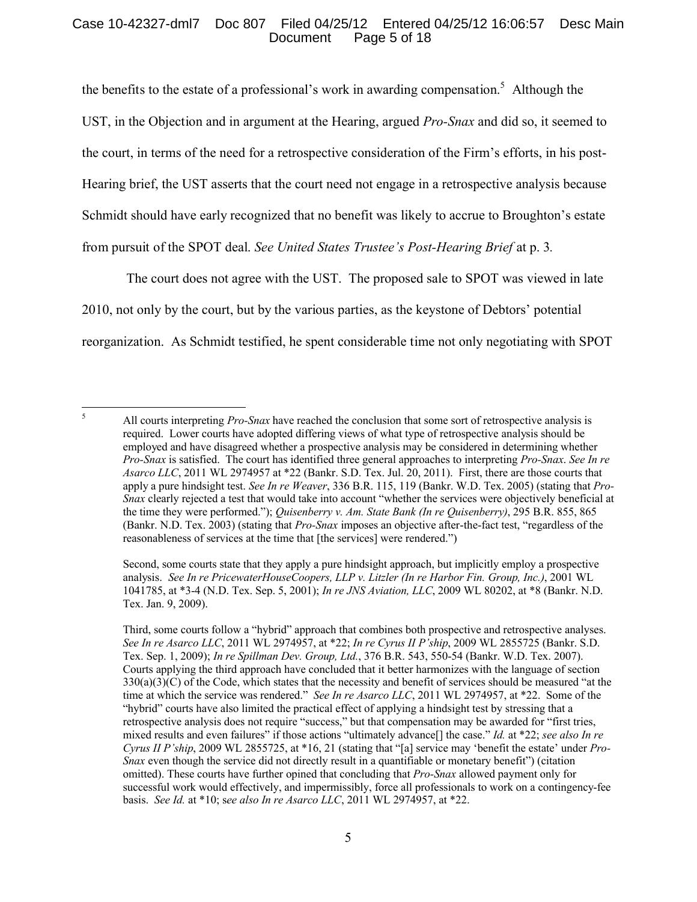## Case 10-42327-dml7 Doc 807 Filed 04/25/12 Entered 04/25/12 16:06:57 Desc Main Page 5 of 18

the benefits to the estate of a professional's work in awarding compensation.<sup>[5](#page-4-0)</sup> Although the UST, in the Objection and in argument at the Hearing, argued *Pro-Snax* and did so, it seemed to the court, in terms of the need for a retrospective consideration of the Firm's efforts, in his post-Hearing brief, the UST asserts that the court need not engage in a retrospective analysis because Schmidt should have early recognized that no benefit was likely to accrue to Broughton's estate from pursuit of the SPOT deal. *See United States Trustee's Post-Hearing Brief* at p. 3*.*

The court does not agree with the UST. The proposed sale to SPOT was viewed in late 2010, not only by the court, but by the various parties, as the keystone of Debtors' potential reorganization. As Schmidt testified, he spent considerable time not only negotiating with SPOT

Second, some courts state that they apply a pure hindsight approach, but implicitly employ a prospective analysis. *See In re PricewaterHouseCoopers, LLP v. Litzler (In re Harbor Fin. Group, Inc.)*, 2001 WL 1041785, at \*3-4 (N.D. Tex. Sep. 5, 2001); *In re JNS Aviation, LLC*, 2009 WL 80202, at \*8 (Bankr. N.D. Tex. Jan. 9, 2009).

<span id="page-4-0"></span> $\sqrt{5}$ <sup>5</sup> All courts interpreting *Pro-Snax* have reached the conclusion that some sort of retrospective analysis is required. Lower courts have adopted differing views of what type of retrospective analysis should be employed and have disagreed whether a prospective analysis may be considered in determining whether *Pro-Snax* is satisfied. The court has identified three general approaches to interpreting *Pro-Snax*. *See In re Asarco LLC*, 2011 WL 2974957 at \*22 (Bankr. S.D. Tex. Jul. 20, 2011). First, there are those courts that apply a pure hindsight test. *See In re Weaver*, 336 B.R. 115, 119 (Bankr. W.D. Tex. 2005) (stating that *Pro-Snax* clearly rejected a test that would take into account "whether the services were objectively beneficial at the time they were performed."); *Quisenberry v. Am. State Bank (In re Quisenberry)*, 295 B.R. 855, 865 (Bankr. N.D. Tex. 2003) (stating that *Pro-Snax* imposes an objective after-the-fact test, "regardless of the reasonableness of services at the time that [the services] were rendered.")

Third, some courts follow a "hybrid" approach that combines both prospective and retrospective analyses. *See In re Asarco LLC*, 2011 WL 2974957, at \*22; *In re Cyrus II P'ship*, 2009 WL 2855725 (Bankr. S.D. Tex. Sep. 1, 2009); *In re Spillman Dev. Group, Ltd.*, 376 B.R. 543, 550-54 (Bankr. W.D. Tex. 2007). Courts applying the third approach have concluded that it better harmonizes with the language of section  $330(a)(3)(C)$  of the Code, which states that the necessity and benefit of services should be measured "at the time at which the service was rendered." *See In re Asarco LLC*, 2011 WL 2974957, at \*22. Some of the "hybrid" courts have also limited the practical effect of applying a hindsight test by stressing that a retrospective analysis does not require "success," but that compensation may be awarded for "first tries, mixed results and even failures" if those actions "ultimately advance[] the case." *Id.* at \*22; *see also In re Cyrus II P'ship*, 2009 WL 2855725, at \*16, 21 (stating that "[a] service may 'benefit the estate' under *Pro-Snax* even though the service did not directly result in a quantifiable or monetary benefit") (citation omitted). These courts have further opined that concluding that *Pro-Snax* allowed payment only for successful work would effectively, and impermissibly, force all professionals to work on a contingency-fee basis. *See Id.* at \*10; s*ee also In re Asarco LLC*, 2011 WL 2974957, at \*22.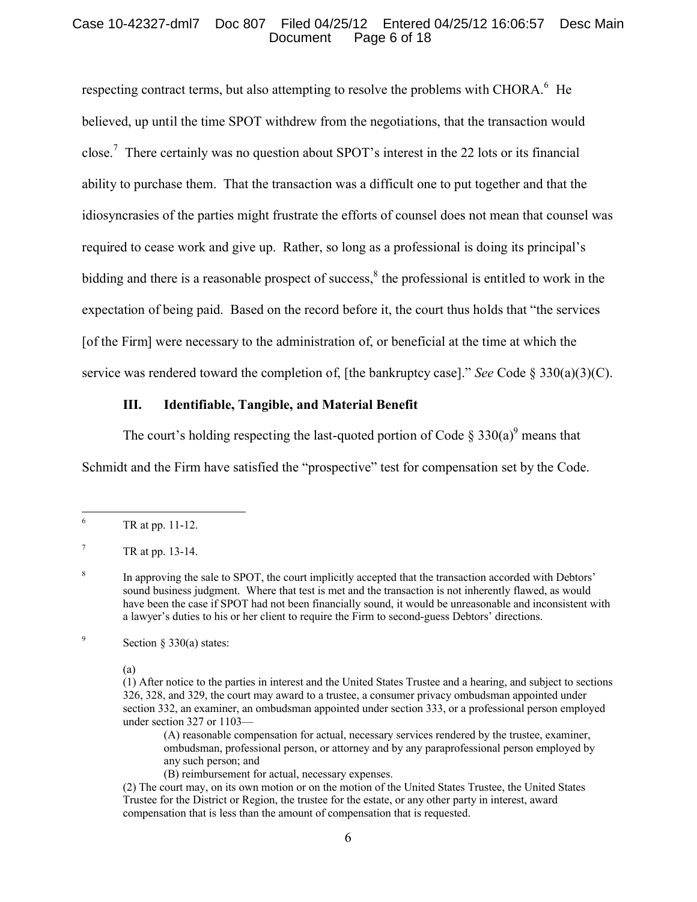# Case 10-42327-dml7 Doc 807 Filed 04/25/12 Entered 04/25/12 16:06:57 Desc Main Page 6 of 18

respecting contract terms, but also attempting to resolve the problems with CHORA. $<sup>6</sup>$  $<sup>6</sup>$  $<sup>6</sup>$  He</sup> believed, up until the time SPOT withdrew from the negotiations, that the transaction would close.<sup>[7](#page-5-1)</sup> There certainly was no question about SPOT's interest in the 22 lots or its financial ability to purchase them. That the transaction was a difficult one to put together and that the idiosyncrasies of the parties might frustrate the efforts of counsel does not mean that counsel was required to cease work and give up. Rather, so long as a professional is doing its principal's bidding and there is a reasonable prospect of success, $<sup>8</sup>$  $<sup>8</sup>$  $<sup>8</sup>$  the professional is entitled to work in the</sup> expectation of being paid. Based on the record before it, the court thus holds that "the services [of the Firm] were necessary to the administration of, or beneficial at the time at which the service was rendered toward the completion of, [the bankruptcy case]." *See* Code § 330(a)(3)(C).

### **III. Identifiable, Tangible, and Material Benefit**

The court's holding respecting the last-quoted portion of Code  $\S 330(a)^9$  $\S 330(a)^9$  means that

Schmidt and the Firm have satisfied the "prospective" test for compensation set by the Code.

<span id="page-5-3"></span>9 Section § 330(a) states:

(a)

(A) reasonable compensation for actual, necessary services rendered by the trustee, examiner, ombudsman, professional person, or attorney and by any paraprofessional person employed by any such person; and

(B) reimbursement for actual, necessary expenses.

(2) The court may, on its own motion or on the motion of the United States Trustee, the United States Trustee for the District or Region, the trustee for the estate, or any other party in interest, award compensation that is less than the amount of compensation that is requested.

<span id="page-5-0"></span> $6\overline{6}$ <sup>6</sup> TR at pp. 11-12.

<span id="page-5-1"></span> $^7$  TR at pp. 13-14.

<span id="page-5-2"></span><sup>8</sup> In approving the sale to SPOT, the court implicitly accepted that the transaction accorded with Debtors' sound business judgment. Where that test is met and the transaction is not inherently flawed, as would have been the case if SPOT had not been financially sound, it would be unreasonable and inconsistent with a lawyer's duties to his or her client to require the Firm to second-guess Debtors' directions.

<sup>(1)</sup> After notice to the parties in interest and the United States Trustee and a hearing, and subject to sections 326, 328, and 329, the court may award to a trustee, a consumer privacy ombudsman appointed under section 332, an examiner, an ombudsman appointed under section 333, or a professional person employed under section 327 or 1103—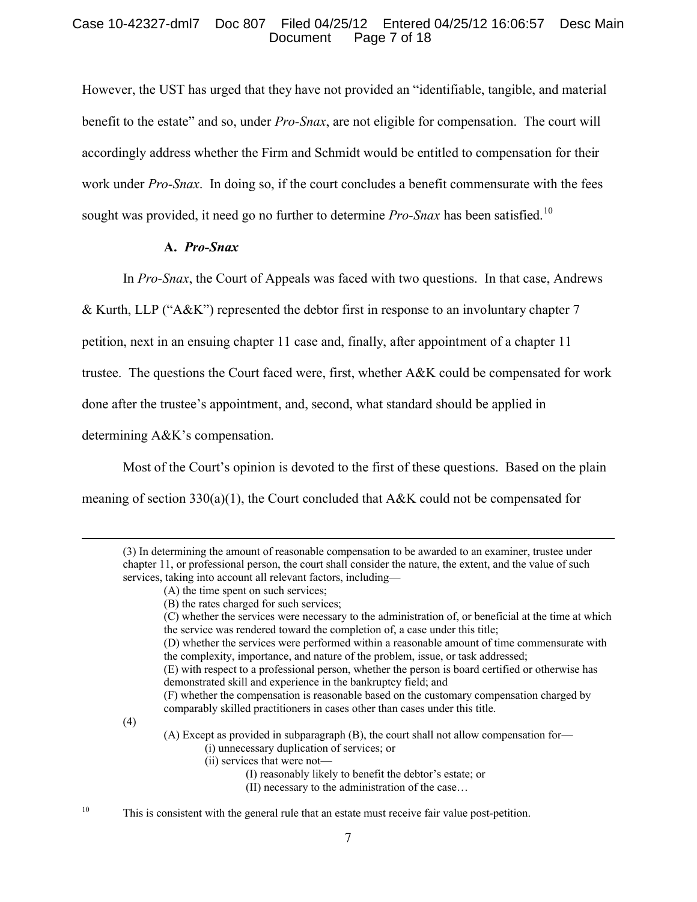## Case 10-42327-dml7 Doc 807 Filed 04/25/12 Entered 04/25/12 16:06:57 Desc Main Page 7 of 18

However, the UST has urged that they have not provided an "identifiable, tangible, and material benefit to the estate" and so, under *Pro-Snax*, are not eligible for compensation. The court will accordingly address whether the Firm and Schmidt would be entitled to compensation for their work under *Pro-Snax*. In doing so, if the court concludes a benefit commensurate with the fees sought was provided, it need go no further to determine *Pro-Snax* has been satisfied.<sup>[10](#page-6-0)</sup>

### **A.** *Pro-Snax*

In *Pro-Snax*, the Court of Appeals was faced with two questions. In that case, Andrews

& Kurth, LLP ("A&K") represented the debtor first in response to an involuntary chapter 7

petition, next in an ensuing chapter 11 case and, finally, after appointment of a chapter 11

trustee. The questions the Court faced were, first, whether A&K could be compensated for work

done after the trustee's appointment, and, second, what standard should be applied in

determining A&K's compensation.

Most of the Court's opinion is devoted to the first of these questions. Based on the plain

meaning of section  $330(a)(1)$ , the Court concluded that A&K could not be compensated for

(3) In determining the amount of reasonable compensation to be awarded to an examiner, trustee under chapter 11, or professional person, the court shall consider the nature, the extent, and the value of such services, taking into account all relevant factors, including—

(4)

 $\overline{a}$ 

- (A) Except as provided in subparagraph (B), the court shall not allow compensation for—
	- (i) unnecessary duplication of services; or
	- (ii) services that were not—
		- (I) reasonably likely to benefit the debtor's estate; or
		- (II) necessary to the administration of the case…

<span id="page-6-0"></span><sup>10</sup> This is consistent with the general rule that an estate must receive fair value post-petition.

<sup>(</sup>A) the time spent on such services;

<sup>(</sup>B) the rates charged for such services;

<sup>(</sup>C) whether the services were necessary to the administration of, or beneficial at the time at which the service was rendered toward the completion of, a case under this title;

<sup>(</sup>D) whether the services were performed within a reasonable amount of time commensurate with the complexity, importance, and nature of the problem, issue, or task addressed;

<sup>(</sup>E) with respect to a professional person, whether the person is board certified or otherwise has demonstrated skill and experience in the bankruptcy field; and

<sup>(</sup>F) whether the compensation is reasonable based on the customary compensation charged by comparably skilled practitioners in cases other than cases under this title.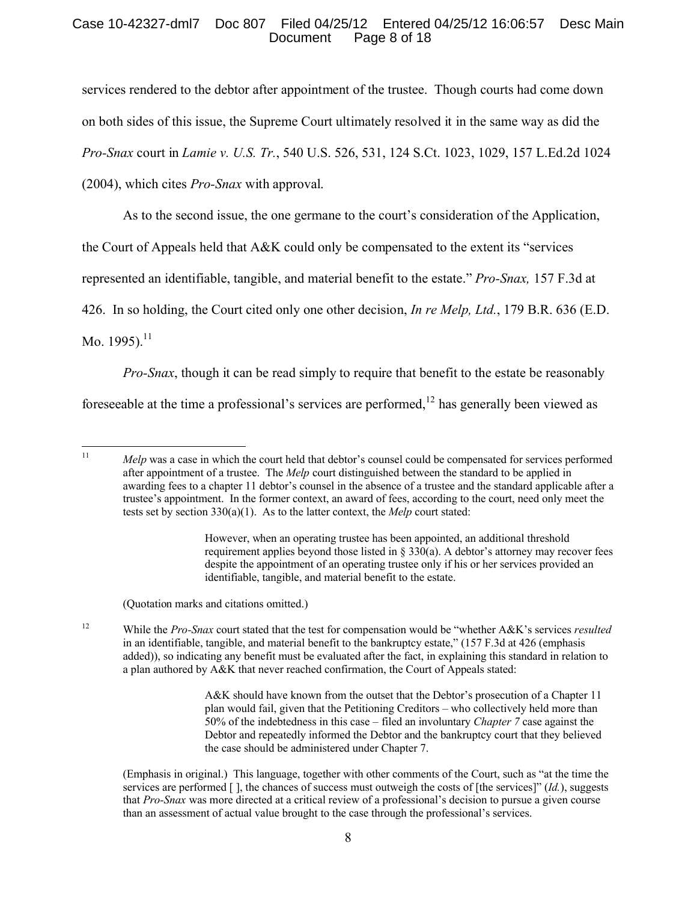## Case 10-42327-dml7 Doc 807 Filed 04/25/12 Entered 04/25/12 16:06:57 Desc Main Page 8 of 18

services rendered to the debtor after appointment of the trustee. Though courts had come down on both sides of this issue, the Supreme Court ultimately resolved it in the same way as did the *Pro-Snax* court in *Lamie v. U.S. Tr.*, 540 U.S. 526, 531, 124 S.Ct. 1023, 1029, 157 L.Ed.2d 1024 (2004), which cites *Pro-Snax* with approval.

As to the second issue, the one germane to the court's consideration of the Application,

the Court of Appeals held that A&K could only be compensated to the extent its "services

represented an identifiable, tangible, and material benefit to the estate." *Pro-Snax,* 157 F.3d at

426. In so holding, the Court cited only one other decision, *In re Melp, Ltd.*, 179 B.R. 636 (E.D.

Mo. 1995).<sup>[11](#page-7-0)</sup>

*Pro-Snax*, though it can be read simply to require that benefit to the estate be reasonably

fore seeable at the time a professional's services are performed,<sup>[12](#page-7-1)</sup> has generally been viewed as

(Quotation marks and citations omitted.)

<span id="page-7-1"></span><sup>12</sup> While the *Pro-Snax* court stated that the test for compensation would be "whether A&K's services *resulted* in an identifiable, tangible, and material benefit to the bankruptcy estate," (157 F.3d at 426 (emphasis added)), so indicating any benefit must be evaluated after the fact, in explaining this standard in relation to a plan authored by A&K that never reached confirmation, the Court of Appeals stated:

> A&K should have known from the outset that the Debtor's prosecution of a Chapter 11 plan would fail, given that the Petitioning Creditors – who collectively held more than 50% of the indebtedness in this case – filed an involuntary *Chapter 7* case against the Debtor and repeatedly informed the Debtor and the bankruptcy court that they believed the case should be administered under Chapter 7.

(Emphasis in original.) This language, together with other comments of the Court, such as "at the time the services are performed [ ], the chances of success must outweigh the costs of [the services]" (*Id.*), suggests that *Pro-Snax* was more directed at a critical review of a professional's decision to pursue a given course than an assessment of actual value brought to the case through the professional's services.

8

<span id="page-7-0"></span> $11<sup>1</sup>$ *Melp* was a case in which the court held that debtor's counsel could be compensated for services performed after appointment of a trustee. The *Melp* court distinguished between the standard to be applied in awarding fees to a chapter 11 debtor's counsel in the absence of a trustee and the standard applicable after a trustee's appointment. In the former context, an award of fees, according to the court, need only meet the tests set by section 330(a)(1). As to the latter context, the *Melp* court stated:

However, when an operating trustee has been appointed, an additional threshold requirement applies beyond those listed in § 330(a). A debtor's attorney may recover fees despite the appointment of an operating trustee only if his or her services provided an identifiable, tangible, and material benefit to the estate.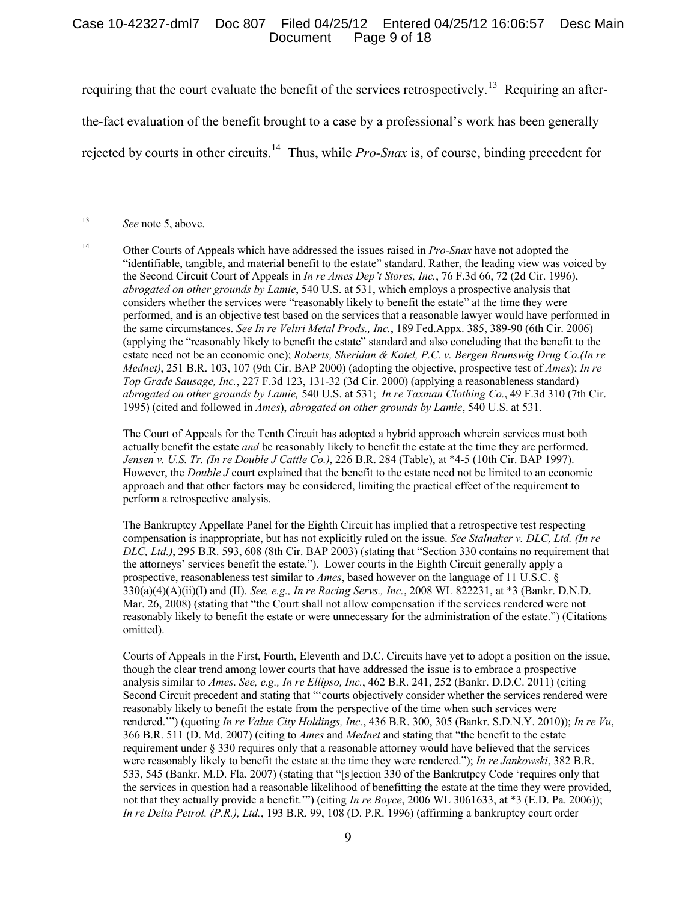## Case 10-42327-dml7 Doc 807 Filed 04/25/12 Entered 04/25/12 16:06:57 Desc Main Page 9 of 18

requiring that the court evaluate the benefit of the services retrospectively.<sup>[13](#page-8-0)</sup> Requiring an after-

the-fact evaluation of the benefit brought to a case by a professional's work has been generally

rejected by courts in other circuits.<sup>[14](#page-8-1)</sup> Thus, while *Pro-Snax* is, of course, binding precedent for

<span id="page-8-0"></span><sup>13</sup> *See* note 5, above.

 $\overline{a}$ 

<span id="page-8-1"></span><sup>14</sup> Other Courts of Appeals which have addressed the issues raised in *Pro-Snax* have not adopted the "identifiable, tangible, and material benefit to the estate" standard. Rather, the leading view was voiced by the Second Circuit Court of Appeals in *In re Ames Dep't Stores, Inc.*, 76 F.3d 66, 72 (2d Cir. 1996), *abrogated on other grounds by Lamie*, 540 U.S. at 531, which employs a prospective analysis that considers whether the services were "reasonably likely to benefit the estate" at the time they were performed, and is an objective test based on the services that a reasonable lawyer would have performed in the same circumstances. *See In re Veltri Metal Prods., Inc.*, 189 Fed.Appx. 385, 389-90 (6th Cir. 2006) (applying the "reasonably likely to benefit the estate" standard and also concluding that the benefit to the estate need not be an economic one); *Roberts, Sheridan & Kotel, P.C. v. Bergen Brunswig Drug Co.(In re Mednet)*, 251 B.R. 103, 107 (9th Cir. BAP 2000) (adopting the objective, prospective test of *Ames*); *In re Top Grade Sausage, Inc.*, 227 F.3d 123, 131-32 (3d Cir. 2000) (applying a reasonableness standard) *abrogated on other grounds by Lamie,* 540 U.S. at 531; *In re Taxman Clothing Co.*, 49 F.3d 310 (7th Cir. 1995) (cited and followed in *Ames*), *abrogated on other grounds by Lamie*, 540 U.S. at 531.

The Court of Appeals for the Tenth Circuit has adopted a hybrid approach wherein services must both actually benefit the estate *and* be reasonably likely to benefit the estate at the time they are performed. *Jensen v. U.S. Tr. (In re Double J Cattle Co.)*, 226 B.R. 284 (Table), at \*4-5 (10th Cir. BAP 1997). However, the *Double J* court explained that the benefit to the estate need not be limited to an economic approach and that other factors may be considered, limiting the practical effect of the requirement to perform a retrospective analysis.

The Bankruptcy Appellate Panel for the Eighth Circuit has implied that a retrospective test respecting compensation is inappropriate, but has not explicitly ruled on the issue. *See Stalnaker v. DLC, Ltd. (In re DLC, Ltd.)*, 295 B.R. 593, 608 (8th Cir. BAP 2003) (stating that "Section 330 contains no requirement that the attorneys' services benefit the estate."). Lower courts in the Eighth Circuit generally apply a prospective, reasonableness test similar to *Ames*, based however on the language of 11 U.S.C. § 330(a)(4)(A)(ii)(I) and (II). *See, e.g., In re Racing Servs., Inc.*, 2008 WL 822231, at \*3 (Bankr. D.N.D. Mar. 26, 2008) (stating that "the Court shall not allow compensation if the services rendered were not reasonably likely to benefit the estate or were unnecessary for the administration of the estate.") (Citations omitted).

Courts of Appeals in the First, Fourth, Eleventh and D.C. Circuits have yet to adopt a position on the issue, though the clear trend among lower courts that have addressed the issue is to embrace a prospective analysis similar to *Ames*. *See, e.g., In re Ellipso, Inc.*, 462 B.R. 241, 252 (Bankr. D.D.C. 2011) (citing Second Circuit precedent and stating that "'courts objectively consider whether the services rendered were reasonably likely to benefit the estate from the perspective of the time when such services were rendered.'") (quoting *In re Value City Holdings, Inc.*, 436 B.R. 300, 305 (Bankr. S.D.N.Y. 2010)); *In re Vu*, 366 B.R. 511 (D. Md. 2007) (citing to *Ames* and *Mednet* and stating that "the benefit to the estate requirement under § 330 requires only that a reasonable attorney would have believed that the services were reasonably likely to benefit the estate at the time they were rendered."); *In re Jankowski*, 382 B.R. 533, 545 (Bankr. M.D. Fla. 2007) (stating that "[s]ection 330 of the Bankrutpcy Code 'requires only that the services in question had a reasonable likelihood of benefitting the estate at the time they were provided, not that they actually provide a benefit.'") (citing *In re Boyce*, 2006 WL 3061633, at \*3 (E.D. Pa. 2006)); *In re Delta Petrol. (P.R.), Ltd.*, 193 B.R. 99, 108 (D. P.R. 1996) (affirming a bankruptcy court order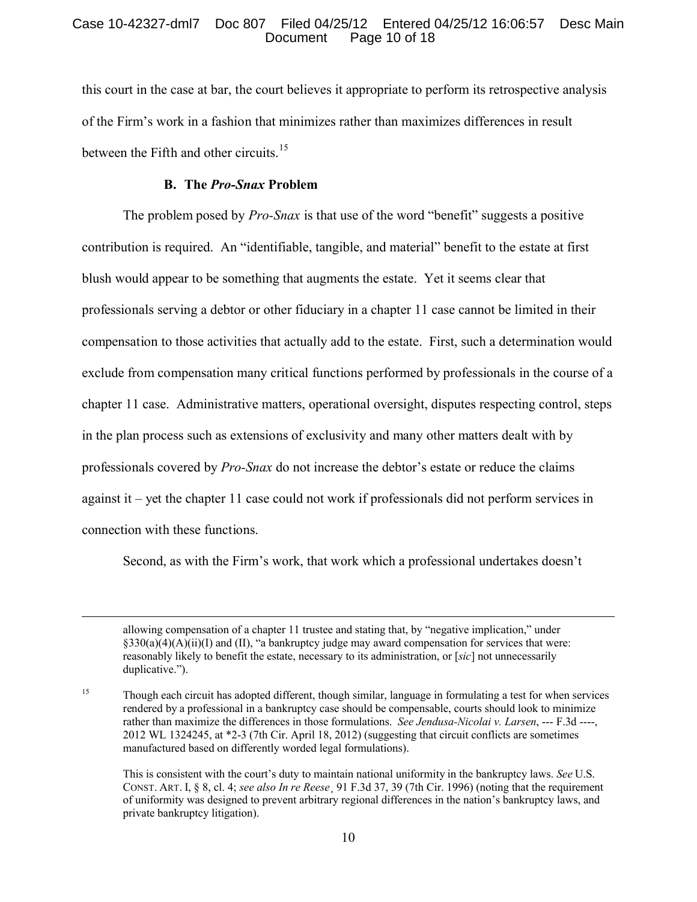# Case 10-42327-dml7 Doc 807 Filed 04/25/12 Entered 04/25/12 16:06:57 Desc Main Page 10 of 18

this court in the case at bar, the court believes it appropriate to perform its retrospective analysis of the Firm's work in a fashion that minimizes rather than maximizes differences in result between the Fifth and other circuits.<sup>[15](#page-9-0)</sup>

### **B. The** *Pro-Snax* **Problem**

 $\overline{a}$ 

The problem posed by *Pro-Snax* is that use of the word "benefit" suggests a positive contribution is required. An "identifiable, tangible, and material" benefit to the estate at first blush would appear to be something that augments the estate. Yet it seems clear that professionals serving a debtor or other fiduciary in a chapter 11 case cannot be limited in their compensation to those activities that actually add to the estate. First, such a determination would exclude from compensation many critical functions performed by professionals in the course of a chapter 11 case. Administrative matters, operational oversight, disputes respecting control, steps in the plan process such as extensions of exclusivity and many other matters dealt with by professionals covered by *Pro-Snax* do not increase the debtor's estate or reduce the claims against it – yet the chapter 11 case could not work if professionals did not perform services in connection with these functions.

Second, as with the Firm's work, that work which a professional undertakes doesn't

allowing compensation of a chapter 11 trustee and stating that, by "negative implication," under  $\S 330(a)(4)(A)(ii)(I)$  and (II), "a bankruptcy judge may award compensation for services that were: reasonably likely to benefit the estate, necessary to its administration, or [*sic*] not unnecessarily duplicative.").

<span id="page-9-0"></span><sup>&</sup>lt;sup>15</sup> Though each circuit has adopted different, though similar, language in formulating a test for when services rendered by a professional in a bankruptcy case should be compensable, courts should look to minimize rather than maximize the differences in those formulations. *See Jendusa-Nicolai v. Larsen*, --- F.3d ----, 2012 WL 1324245, at \*2-3 (7th Cir. April 18, 2012) (suggesting that circuit conflicts are sometimes manufactured based on differently worded legal formulations).

This is consistent with the court's duty to maintain national uniformity in the bankruptcy laws. *See* U.S. CONST. ART. I, § 8, cl. 4; *see also In re Reese*¸ 91 F.3d 37, 39 (7th Cir. 1996) (noting that the requirement of uniformity was designed to prevent arbitrary regional differences in the nation's bankruptcy laws, and private bankruptcy litigation).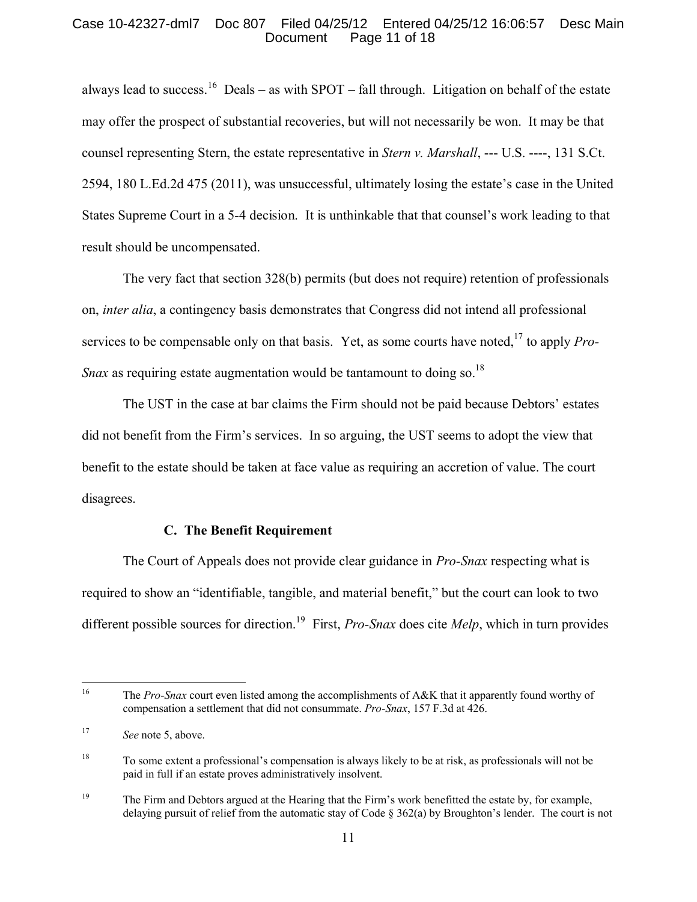## Case 10-42327-dml7 Doc 807 Filed 04/25/12 Entered 04/25/12 16:06:57 Desc Main Page 11 of 18

always lead to success.<sup>[16](#page-10-0)</sup> Deals – as with SPOT – fall through. Litigation on behalf of the estate may offer the prospect of substantial recoveries, but will not necessarily be won. It may be that counsel representing Stern, the estate representative in *Stern v. Marshall*, --- U.S. ----, 131 S.Ct. 2594, 180 L.Ed.2d 475 (2011), was unsuccessful, ultimately losing the estate's case in the United States Supreme Court in a 5-4 decision. It is unthinkable that that counsel's work leading to that result should be uncompensated.

The very fact that section 328(b) permits (but does not require) retention of professionals on, *inter alia*, a contingency basis demonstrates that Congress did not intend all professional services to be compensable only on that basis. Yet, as some courts have noted,[17](#page-10-1) to apply *Pro-Snax* as requiring estate augmentation would be tantamount to doing so.<sup>[18](#page-10-2)</sup>

The UST in the case at bar claims the Firm should not be paid because Debtors' estates did not benefit from the Firm's services. In so arguing, the UST seems to adopt the view that benefit to the estate should be taken at face value as requiring an accretion of value. The court disagrees.

### **C. The Benefit Requirement**

The Court of Appeals does not provide clear guidance in *Pro-Snax* respecting what is required to show an "identifiable, tangible, and material benefit," but the court can look to two different possible sources for direction.[19](#page-10-3) First, *Pro-Snax* does cite *Melp*, which in turn provides

<span id="page-10-0"></span> $16\,$ <sup>16</sup> The *Pro-Snax* court even listed among the accomplishments of A&K that it apparently found worthy of compensation a settlement that did not consummate. *Pro-Snax*, 157 F.3d at 426.

<span id="page-10-1"></span><sup>17</sup> *See* note 5, above.

<span id="page-10-2"></span><sup>18</sup> To some extent a professional's compensation is always likely to be at risk, as professionals will not be paid in full if an estate proves administratively insolvent.

<span id="page-10-3"></span><sup>&</sup>lt;sup>19</sup> The Firm and Debtors argued at the Hearing that the Firm's work benefitted the estate by, for example, delaying pursuit of relief from the automatic stay of Code  $\S 362(a)$  by Broughton's lender. The court is not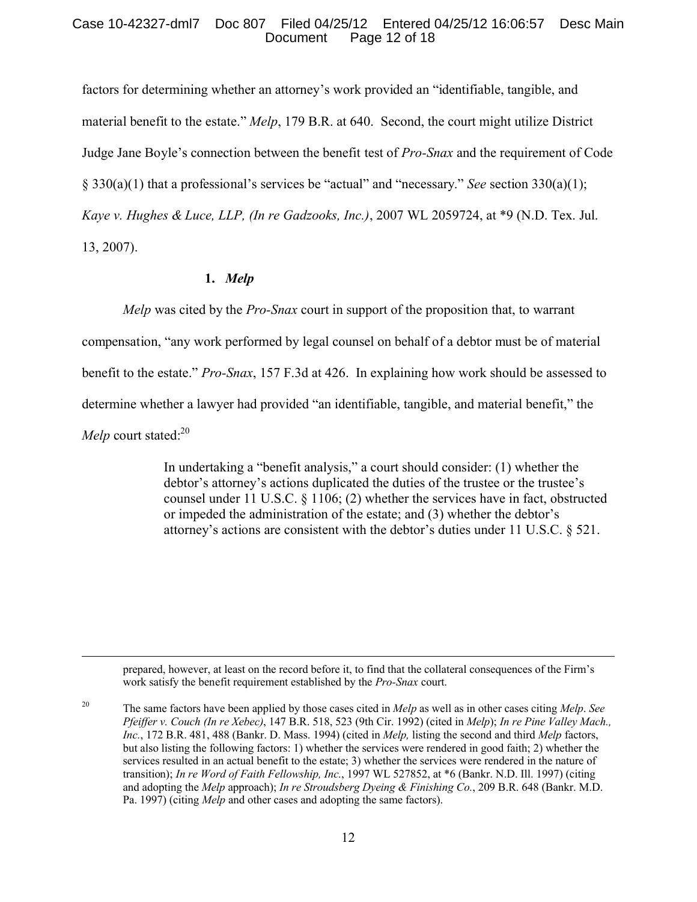## Case 10-42327-dml7 Doc 807 Filed 04/25/12 Entered 04/25/12 16:06:57 Desc Main Page 12 of 18

factors for determining whether an attorney's work provided an "identifiable, tangible, and material benefit to the estate." *Melp*, 179 B.R. at 640. Second, the court might utilize District Judge Jane Boyle's connection between the benefit test of *Pro-Snax* and the requirement of Code § 330(a)(1) that a professional's services be "actual" and "necessary." *See* section 330(a)(1); *Kaye v. Hughes & Luce, LLP, (In re Gadzooks, Inc.)*, 2007 WL 2059724, at \*9 (N.D. Tex. Jul. 13, 2007).

# **1.** *Melp*

 $\overline{a}$ 

*Melp* was cited by the *Pro-Snax* court in support of the proposition that, to warrant compensation, "any work performed by legal counsel on behalf of a debtor must be of material benefit to the estate." *Pro-Snax*, 157 F.3d at 426. In explaining how work should be assessed to determine whether a lawyer had provided "an identifiable, tangible, and material benefit," the *Melp* court stated:<sup>[20](#page-11-0)</sup>

> In undertaking a "benefit analysis," a court should consider: (1) whether the debtor's attorney's actions duplicated the duties of the trustee or the trustee's counsel under 11 U.S.C. § 1106; (2) whether the services have in fact, obstructed or impeded the administration of the estate; and (3) whether the debtor's attorney's actions are consistent with the debtor's duties under 11 U.S.C. § 521.

prepared, however, at least on the record before it, to find that the collateral consequences of the Firm's work satisfy the benefit requirement established by the *Pro-Snax* court.

<span id="page-11-0"></span><sup>20</sup> The same factors have been applied by those cases cited in *Melp* as well as in other cases citing *Melp*. *See Pfeiffer v. Couch (In re Xebec)*, 147 B.R. 518, 523 (9th Cir. 1992) (cited in *Melp*); *In re Pine Valley Mach., Inc.*, 172 B.R. 481, 488 (Bankr. D. Mass. 1994) (cited in *Melp,* listing the second and third *Melp* factors, but also listing the following factors: 1) whether the services were rendered in good faith; 2) whether the services resulted in an actual benefit to the estate; 3) whether the services were rendered in the nature of transition); *In re Word of Faith Fellowship, Inc.*, 1997 WL 527852, at \*6 (Bankr. N.D. Ill. 1997) (citing and adopting the *Melp* approach); *In re Stroudsberg Dyeing & Finishing Co.*, 209 B.R. 648 (Bankr. M.D. Pa. 1997) (citing *Melp* and other cases and adopting the same factors).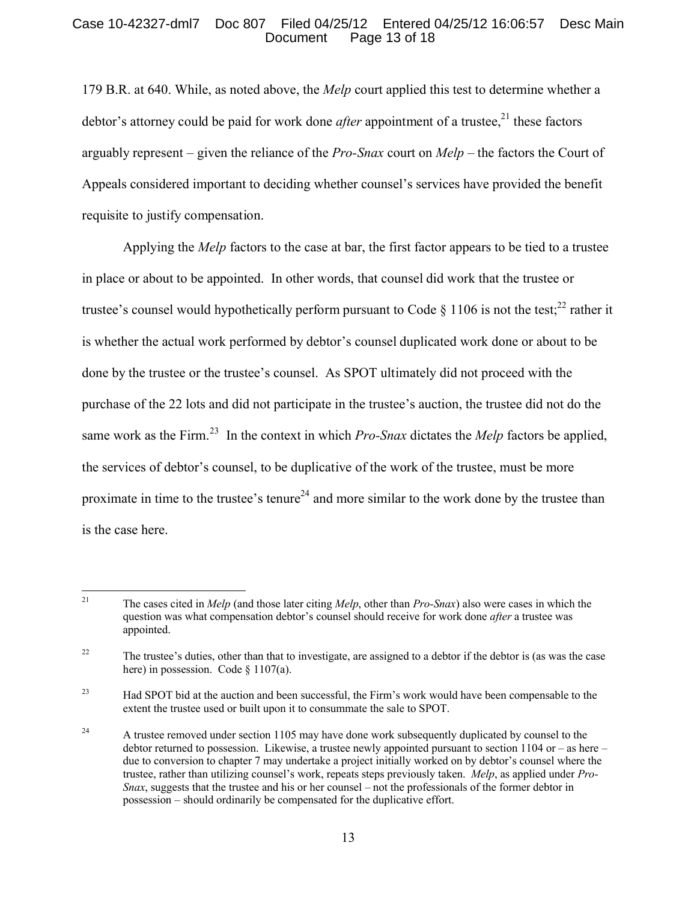## Case 10-42327-dml7 Doc 807 Filed 04/25/12 Entered 04/25/12 16:06:57 Desc Main Page 13 of 18

179 B.R. at 640. While, as noted above, the *Melp* court applied this test to determine whether a debtor's attorney could be paid for work done *after* appointment of a trustee,<sup>[21](#page-12-0)</sup> these factors arguably represent – given the reliance of the *Pro-Snax* court on *Melp* – the factors the Court of Appeals considered important to deciding whether counsel's services have provided the benefit requisite to justify compensation.

Applying the *Melp* factors to the case at bar, the first factor appears to be tied to a trustee in place or about to be appointed. In other words, that counsel did work that the trustee or trustee's counsel would hypothetically perform pursuant to Code  $\S$  1106 is not the test;<sup>[22](#page-12-1)</sup> rather it is whether the actual work performed by debtor's counsel duplicated work done or about to be done by the trustee or the trustee's counsel. As SPOT ultimately did not proceed with the purchase of the 22 lots and did not participate in the trustee's auction, the trustee did not do the same work as the Firm.<sup>[23](#page-12-2)</sup> In the context in which *Pro-Snax* dictates the *Melp* factors be applied, the services of debtor's counsel, to be duplicative of the work of the trustee, must be more proximate in time to the trustee's tenure<sup>[24](#page-12-3)</sup> and more similar to the work done by the trustee than is the case here.

<span id="page-12-0"></span><sup>&</sup>lt;sup>21</sup> The cases cited in *Melp* (and those later citing *Melp*, other than *Pro-Snax*) also were cases in which the question was what compensation debtor's counsel should receive for work done *after* a trustee was appointed.

<span id="page-12-1"></span><sup>&</sup>lt;sup>22</sup> The trustee's duties, other than that to investigate, are assigned to a debtor if the debtor is (as was the case here) in possession. Code  $\S$  1107(a).

<span id="page-12-2"></span><sup>&</sup>lt;sup>23</sup> Had SPOT bid at the auction and been successful, the Firm's work would have been compensable to the extent the trustee used or built upon it to consummate the sale to SPOT.

<span id="page-12-3"></span><sup>24</sup> A trustee removed under section 1105 may have done work subsequently duplicated by counsel to the debtor returned to possession. Likewise, a trustee newly appointed pursuant to section  $1104$  or – as here – due to conversion to chapter 7 may undertake a project initially worked on by debtor's counsel where the trustee, rather than utilizing counsel's work, repeats steps previously taken. *Melp*, as applied under *Pro-Snax*, suggests that the trustee and his or her counsel – not the professionals of the former debtor in possession – should ordinarily be compensated for the duplicative effort.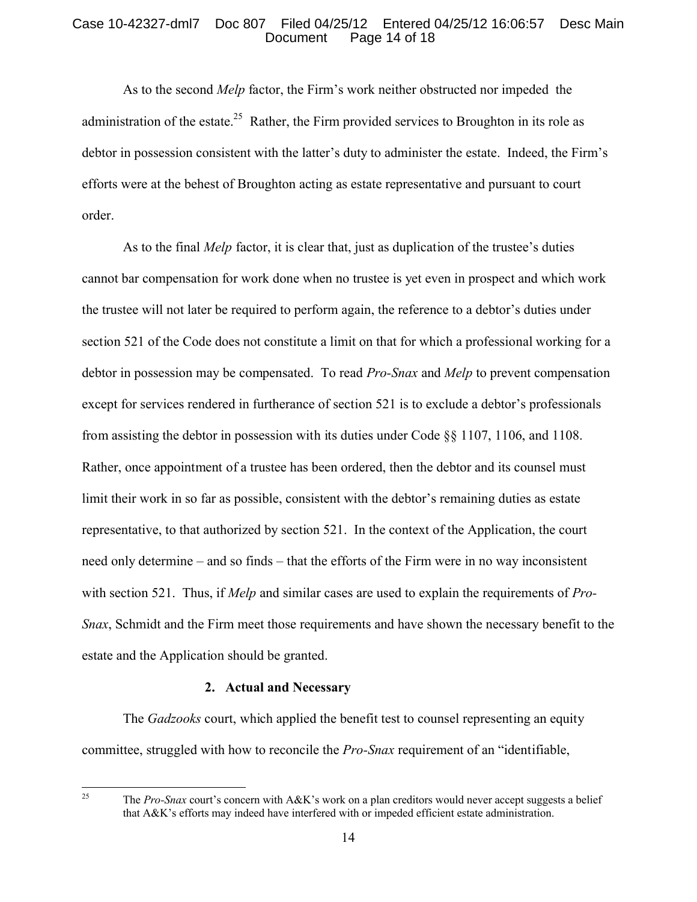# Case 10-42327-dml7 Doc 807 Filed 04/25/12 Entered 04/25/12 16:06:57 Desc Main Page 14 of 18

As to the second *Melp* factor, the Firm's work neither obstructed nor impeded the administration of the estate.<sup>[25](#page-13-0)</sup> Rather, the Firm provided services to Broughton in its role as debtor in possession consistent with the latter's duty to administer the estate. Indeed, the Firm's efforts were at the behest of Broughton acting as estate representative and pursuant to court order.

As to the final *Melp* factor, it is clear that, just as duplication of the trustee's duties cannot bar compensation for work done when no trustee is yet even in prospect and which work the trustee will not later be required to perform again, the reference to a debtor's duties under section 521 of the Code does not constitute a limit on that for which a professional working for a debtor in possession may be compensated. To read *Pro-Snax* and *Melp* to prevent compensation except for services rendered in furtherance of section 521 is to exclude a debtor's professionals from assisting the debtor in possession with its duties under Code §§ 1107, 1106, and 1108. Rather, once appointment of a trustee has been ordered, then the debtor and its counsel must limit their work in so far as possible, consistent with the debtor's remaining duties as estate representative, to that authorized by section 521. In the context of the Application, the court need only determine – and so finds – that the efforts of the Firm were in no way inconsistent with section 521. Thus, if *Melp* and similar cases are used to explain the requirements of *Pro-Snax*, Schmidt and the Firm meet those requirements and have shown the necessary benefit to the estate and the Application should be granted.

#### **2. Actual and Necessary**

The *Gadzooks* court, which applied the benefit test to counsel representing an equity committee, struggled with how to reconcile the *Pro-Snax* requirement of an "identifiable,

<span id="page-13-0"></span>25

<sup>25</sup> The *Pro-Snax* court's concern with A&K's work on a plan creditors would never accept suggests a belief that A&K's efforts may indeed have interfered with or impeded efficient estate administration.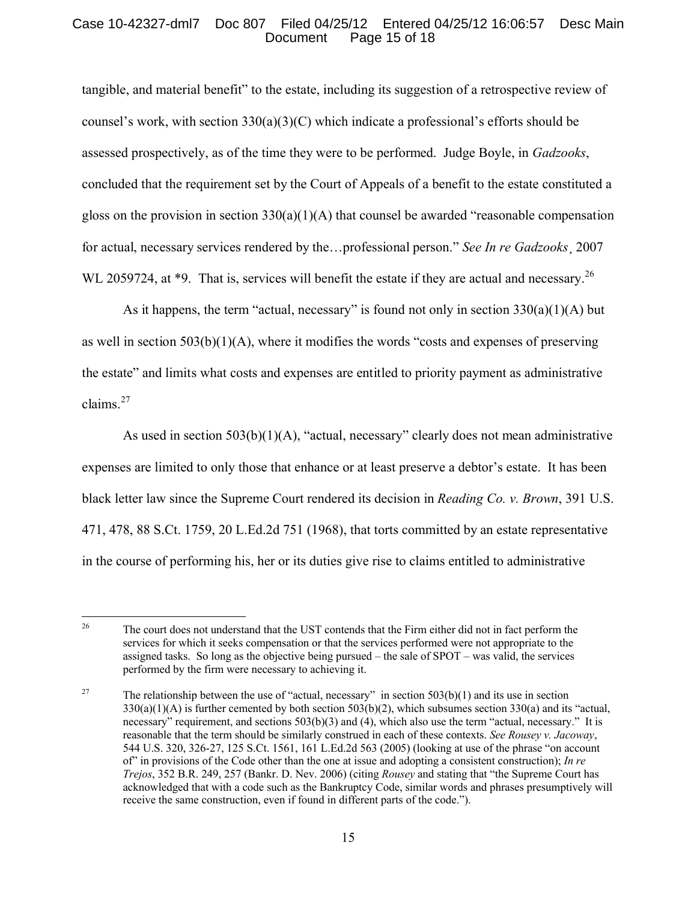# Case 10-42327-dml7 Doc 807 Filed 04/25/12 Entered 04/25/12 16:06:57 Desc Main Page 15 of 18

tangible, and material benefit" to the estate, including its suggestion of a retrospective review of counsel's work, with section  $330(a)(3)(C)$  which indicate a professional's efforts should be assessed prospectively, as of the time they were to be performed. Judge Boyle, in *Gadzooks*, concluded that the requirement set by the Court of Appeals of a benefit to the estate constituted a gloss on the provision in section  $330(a)(1)(A)$  that counsel be awarded "reasonable compensation" for actual, necessary services rendered by the…professional person." *See In re Gadzooks*¸ 2007 WL 2059724, at \*9. That is, services will benefit the estate if they are actual and necessary.<sup>[26](#page-14-0)</sup>

As it happens, the term "actual, necessary" is found not only in section  $330(a)(1)(A)$  but as well in section  $503(b)(1)(A)$ , where it modifies the words "costs and expenses of preserving the estate" and limits what costs and expenses are entitled to priority payment as administrative claims.[27](#page-14-1)

As used in section  $503(b)(1)(A)$ , "actual, necessary" clearly does not mean administrative expenses are limited to only those that enhance or at least preserve a debtor's estate. It has been black letter law since the Supreme Court rendered its decision in *Reading Co. v. Brown*, 391 U.S. 471, 478, 88 S.Ct. 1759, 20 L.Ed.2d 751 (1968), that torts committed by an estate representative in the course of performing his, her or its duties give rise to claims entitled to administrative

<span id="page-14-0"></span><sup>26</sup> <sup>26</sup> The court does not understand that the UST contends that the Firm either did not in fact perform the services for which it seeks compensation or that the services performed were not appropriate to the assigned tasks. So long as the objective being pursued – the sale of SPOT – was valid, the services performed by the firm were necessary to achieving it.

<span id="page-14-1"></span><sup>&</sup>lt;sup>27</sup> The relationship between the use of "actual, necessary" in section 503(b)(1) and its use in section  $330(a)(1)(A)$  is further cemented by both section  $503(b)(2)$ , which subsumes section  $330(a)$  and its "actual, necessary" requirement, and sections 503(b)(3) and (4), which also use the term "actual, necessary." It is reasonable that the term should be similarly construed in each of these contexts. *See Rousey v. Jacoway*, 544 U.S. 320, 326-27, 125 S.Ct. 1561, 161 L.Ed.2d 563 (2005) (looking at use of the phrase "on account of" in provisions of the Code other than the one at issue and adopting a consistent construction); *In re Trejos*, 352 B.R. 249, 257 (Bankr. D. Nev. 2006) (citing *Rousey* and stating that "the Supreme Court has acknowledged that with a code such as the Bankruptcy Code, similar words and phrases presumptively will receive the same construction, even if found in different parts of the code.").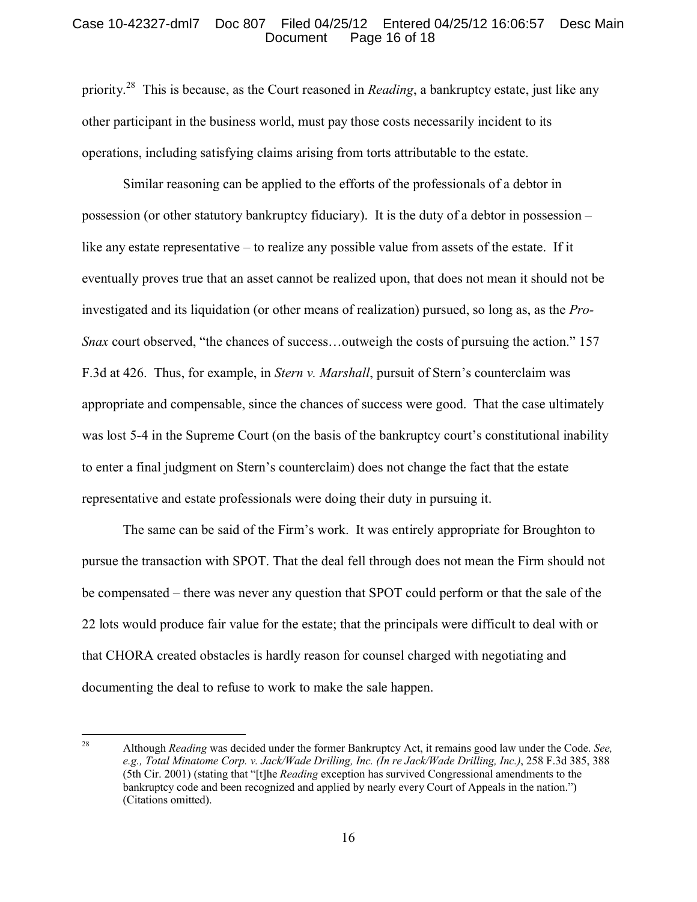#### Case 10-42327-dml7 Doc 807 Filed 04/25/12 Entered 04/25/12 16:06:57 Desc Main Page 16 of 18

priority. [28](#page-15-0) This is because, as the Court reasoned in *Reading*, a bankruptcy estate, just like any other participant in the business world, must pay those costs necessarily incident to its operations, including satisfying claims arising from torts attributable to the estate.

Similar reasoning can be applied to the efforts of the professionals of a debtor in possession (or other statutory bankruptcy fiduciary). It is the duty of a debtor in possession – like any estate representative – to realize any possible value from assets of the estate. If it eventually proves true that an asset cannot be realized upon, that does not mean it should not be investigated and its liquidation (or other means of realization) pursued, so long as, as the *Pro-Snax* court observed, "the chances of success...outweigh the costs of pursuing the action." 157 F.3d at 426. Thus, for example, in *Stern v. Marshall*, pursuit of Stern's counterclaim was appropriate and compensable, since the chances of success were good. That the case ultimately was lost 5-4 in the Supreme Court (on the basis of the bankruptcy court's constitutional inability to enter a final judgment on Stern's counterclaim) does not change the fact that the estate representative and estate professionals were doing their duty in pursuing it.

The same can be said of the Firm's work. It was entirely appropriate for Broughton to pursue the transaction with SPOT. That the deal fell through does not mean the Firm should not be compensated – there was never any question that SPOT could perform or that the sale of the 22 lots would produce fair value for the estate; that the principals were difficult to deal with or that CHORA created obstacles is hardly reason for counsel charged with negotiating and documenting the deal to refuse to work to make the sale happen.

<span id="page-15-0"></span><sup>28</sup> <sup>28</sup> Although *Reading* was decided under the former Bankruptcy Act, it remains good law under the Code. *See, e.g., Total Minatome Corp. v. Jack/Wade Drilling, Inc. (In re Jack/Wade Drilling, Inc.)*, 258 F.3d 385, 388 (5th Cir. 2001) (stating that "[t]he *Reading* exception has survived Congressional amendments to the bankruptcy code and been recognized and applied by nearly every Court of Appeals in the nation.") (Citations omitted).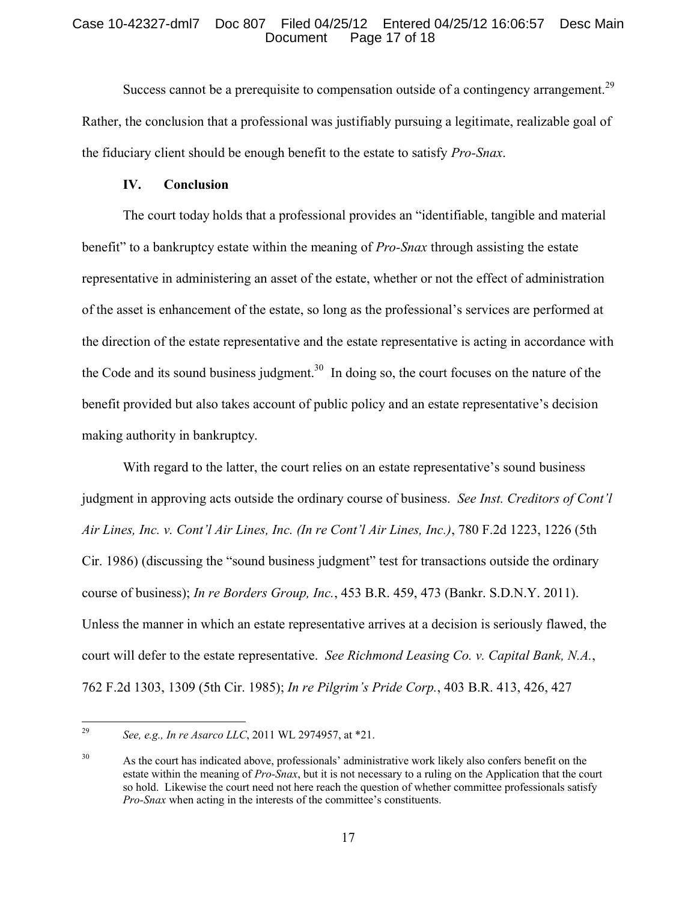## Case 10-42327-dml7 Doc 807 Filed 04/25/12 Entered 04/25/12 16:06:57 Desc Main Page 17 of 18

Success cannot be a prerequisite to compensation outside of a contingency arrangement.<sup>[29](#page-16-0)</sup> Rather, the conclusion that a professional was justifiably pursuing a legitimate, realizable goal of the fiduciary client should be enough benefit to the estate to satisfy *Pro-Snax*.

## **IV. Conclusion**

The court today holds that a professional provides an "identifiable, tangible and material benefit" to a bankruptcy estate within the meaning of *Pro-Snax* through assisting the estate representative in administering an asset of the estate, whether or not the effect of administration of the asset is enhancement of the estate, so long as the professional's services are performed at the direction of the estate representative and the estate representative is acting in accordance with the Code and its sound business judgment.<sup>[30](#page-16-1)</sup> In doing so, the court focuses on the nature of the benefit provided but also takes account of public policy and an estate representative's decision making authority in bankruptcy.

With regard to the latter, the court relies on an estate representative's sound business judgment in approving acts outside the ordinary course of business. *See Inst. Creditors of Cont'l Air Lines, Inc. v. Cont'l Air Lines, Inc. (In re Cont'l Air Lines, Inc.)*, 780 F.2d 1223, 1226 (5th Cir. 1986) (discussing the "sound business judgment" test for transactions outside the ordinary course of business); *In re Borders Group, Inc.*, 453 B.R. 459, 473 (Bankr. S.D.N.Y. 2011). Unless the manner in which an estate representative arrives at a decision is seriously flawed, the court will defer to the estate representative. *See Richmond Leasing Co. v. Capital Bank, N.A.*, 762 F.2d 1303, 1309 (5th Cir. 1985); *In re Pilgrim's Pride Corp.*, 403 B.R. 413, 426, 427

<span id="page-16-0"></span><sup>29</sup> <sup>29</sup> *See, e.g., In re Asarco LLC*, 2011 WL 2974957, at \*21.

<span id="page-16-1"></span><sup>&</sup>lt;sup>30</sup> As the court has indicated above, professionals' administrative work likely also confers benefit on the estate within the meaning of *Pro-Snax*, but it is not necessary to a ruling on the Application that the court so hold. Likewise the court need not here reach the question of whether committee professionals satisfy *Pro-Snax* when acting in the interests of the committee's constituents.